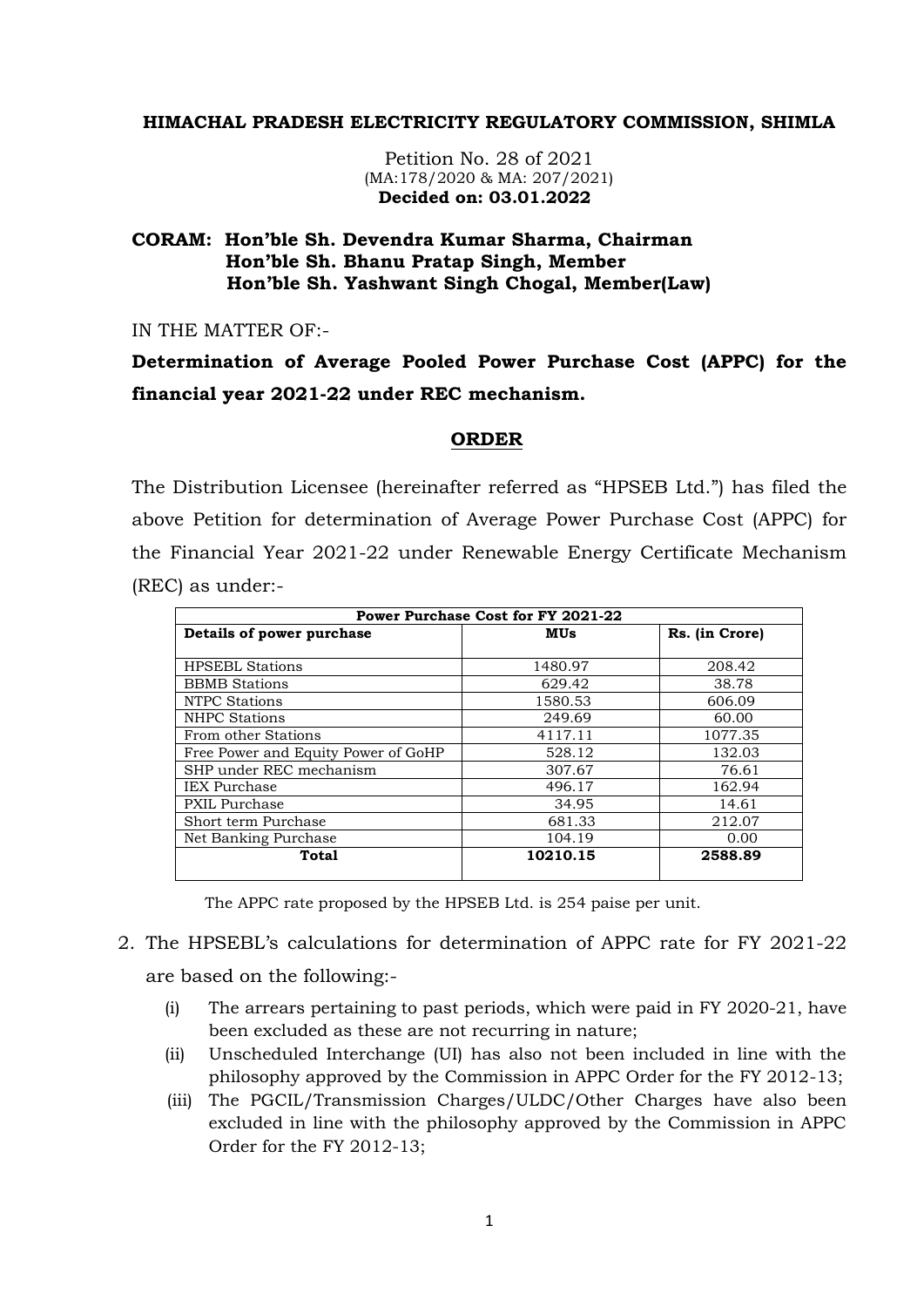## **HIMACHAL PRADESH ELECTRICITY REGULATORY COMMISSION, SHIMLA**

Petition No. 28 of 2021 (MA:178/2020 & MA: 207/2021)  **Decided on: 03.01.2022**

## **CORAM: Hon'ble Sh. Devendra Kumar Sharma, Chairman Hon'ble Sh. Bhanu Pratap Singh, Member Hon'ble Sh. Yashwant Singh Chogal, Member(Law)**

IN THE MATTER OF:-

**Determination of Average Pooled Power Purchase Cost (APPC) for the financial year 2021-22 under REC mechanism.**

## **ORDER**

The Distribution Licensee (hereinafter referred as "HPSEB Ltd.") has filed the above Petition for determination of Average Power Purchase Cost (APPC) for the Financial Year 2021-22 under Renewable Energy Certificate Mechanism (REC) as under:-

| Power Purchase Cost for FY 2021-22  |          |                |  |  |  |
|-------------------------------------|----------|----------------|--|--|--|
| Details of power purchase           | MUs      | Rs. (in Crore) |  |  |  |
|                                     |          |                |  |  |  |
| <b>HPSEBL Stations</b>              | 1480.97  | 208.42         |  |  |  |
| <b>BBMB</b> Stations                | 629.42   | 38.78          |  |  |  |
| NTPC Stations                       | 1580.53  | 606.09         |  |  |  |
| <b>NHPC Stations</b>                | 249.69   | 60.00          |  |  |  |
| From other Stations                 | 4117.11  | 1077.35        |  |  |  |
| Free Power and Equity Power of GoHP | 528.12   | 132.03         |  |  |  |
| SHP under REC mechanism             | 307.67   | 76.61          |  |  |  |
| <b>IEX</b> Purchase                 | 496.17   | 162.94         |  |  |  |
| PXIL Purchase                       | 34.95    | 14.61          |  |  |  |
| Short term Purchase                 | 681.33   | 212.07         |  |  |  |
| Net Banking Purchase                | 104.19   | 0.00           |  |  |  |
| Total                               | 10210.15 | 2588.89        |  |  |  |

The APPC rate proposed by the HPSEB Ltd. is 254 paise per unit.

- 2. The HPSEBL's calculations for determination of APPC rate for FY 2021-22 are based on the following:-
	- (i) The arrears pertaining to past periods, which were paid in FY 2020-21, have been excluded as these are not recurring in nature;
	- (ii) Unscheduled Interchange (UI) has also not been included in line with the philosophy approved by the Commission in APPC Order for the FY 2012-13;
	- (iii) The PGCIL/Transmission Charges/ULDC/Other Charges have also been excluded in line with the philosophy approved by the Commission in APPC Order for the FY 2012-13;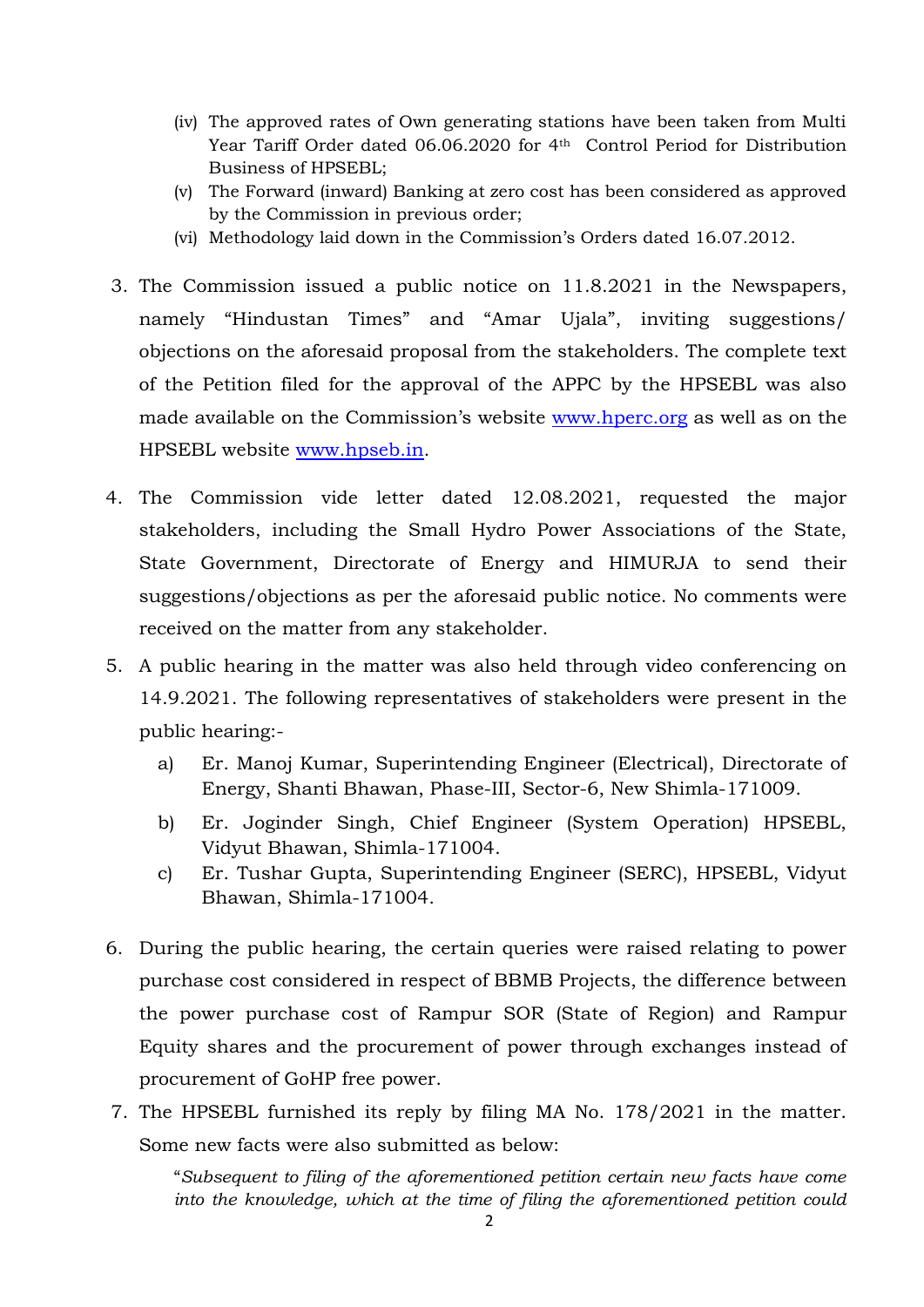- (iv) The approved rates of Own generating stations have been taken from Multi Year Tariff Order dated 06.06.2020 for 4<sup>th</sup> Control Period for Distribution Business of HPSEBL;
- (v) The Forward (inward) Banking at zero cost has been considered as approved by the Commission in previous order;
- (vi) Methodology laid down in the Commission's Orders dated 16.07.2012.
- 3. The Commission issued a public notice on 11.8.2021 in the Newspapers, namely "Hindustan Times" and "Amar Ujala", inviting suggestions/ objections on the aforesaid proposal from the stakeholders. The complete text of the Petition filed for the approval of the APPC by the HPSEBL was also made available on the Commission's website [www.hperc.org](http://www.hperc.org/) as well as on the HPSEBL website [www.hpseb.in.](http://www.hpseb.in/)
- 4. The Commission vide letter dated 12.08.2021, requested the major stakeholders, including the Small Hydro Power Associations of the State, State Government, Directorate of Energy and HIMURJA to send their suggestions/objections as per the aforesaid public notice. No comments were received on the matter from any stakeholder.
- 5. A public hearing in the matter was also held through video conferencing on 14.9.2021. The following representatives of stakeholders were present in the public hearing:
	- a) Er. Manoj Kumar, Superintending Engineer (Electrical), Directorate of Energy, Shanti Bhawan, Phase-III, Sector-6, New Shimla-171009.
	- b) Er. Joginder Singh, Chief Engineer (System Operation) HPSEBL, Vidyut Bhawan, Shimla-171004.
	- c) Er. Tushar Gupta, Superintending Engineer (SERC), HPSEBL, Vidyut Bhawan, Shimla-171004.
- 6. During the public hearing, the certain queries were raised relating to power purchase cost considered in respect of BBMB Projects, the difference between the power purchase cost of Rampur SOR (State of Region) and Rampur Equity shares and the procurement of power through exchanges instead of procurement of GoHP free power.
- 7. The HPSEBL furnished its reply by filing MA No. 178/2021 in the matter. Some new facts were also submitted as below:

"*Subsequent to filing of the aforementioned petition certain new facts have come into the knowledge, which at the time of filing the aforementioned petition could*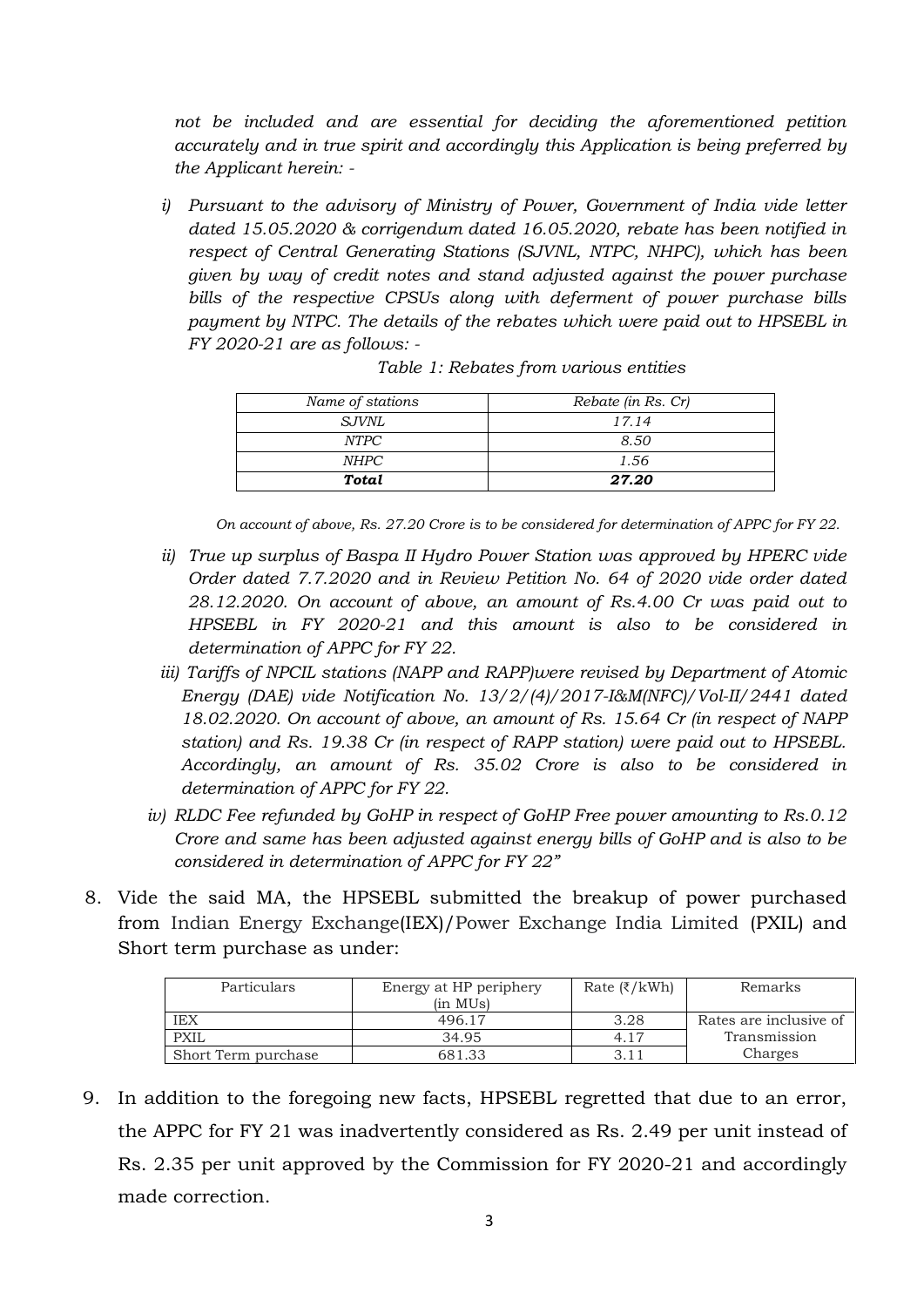*not be included and are essential for deciding the aforementioned petition accurately and in true spirit and accordingly this Application is being preferred by the Applicant herein: -*

*i) Pursuant to the advisory of Ministry of Power, Government of India vide letter dated 15.05.2020 & corrigendum dated 16.05.2020, rebate has been notified in respect of Central Generating Stations (SJVNL, NTPC, NHPC), which has been given by way of credit notes and stand adjusted against the power purchase bills of the respective CPSUs along with deferment of power purchase bills payment by NTPC. The details of the rebates which were paid out to HPSEBL in FY 2020-21 are as follows: -*

| Name of stations | Rebate (in Rs. Cr) |
|------------------|--------------------|
| SJVNL            | 17.14              |
| NTPC             | 8.50               |
| <i>NHPC</i>      | 1.56               |
| Total            | 27.20              |

*Table 1: Rebates from various entities*

*On account of above, Rs. 27.20 Crore is to be considered for determination of APPC for FY 22.*

- *ii) True up surplus of Baspa II Hydro Power Station was approved by HPERC vide Order dated 7.7.2020 and in Review Petition No. 64 of 2020 vide order dated 28.12.2020. On account of above, an amount of Rs.4.00 Cr was paid out to HPSEBL in FY 2020-21 and this amount is also to be considered in determination of APPC for FY 22.*
- *iii) Tariffs of NPCIL stations (NAPP and RAPP)were revised by Department of Atomic Energy (DAE) vide Notification No. 13/2/(4)/2017-I&M(NFC)/Vol-II/2441 dated 18.02.2020. On account of above, an amount of Rs. 15.64 Cr (in respect of NAPP station) and Rs. 19.38 Cr (in respect of RAPP station) were paid out to HPSEBL. Accordingly, an amount of Rs. 35.02 Crore is also to be considered in determination of APPC for FY 22.*
- *iv) RLDC Fee refunded by GoHP in respect of GoHP Free power amounting to Rs.0.12 Crore and same has been adjusted against energy bills of GoHP and is also to be considered in determination of APPC for FY 22"*
- 8. Vide the said MA, the HPSEBL submitted the breakup of power purchased from Indian Energy Exchange(IEX)/Power Exchange India Limited (PXIL) and Short term purchase as under:

| Particulars<br>Energy at HP periphery |          | Rate $(\xi/kWh)$ | Remarks                |
|---------------------------------------|----------|------------------|------------------------|
|                                       | (in MUs) |                  |                        |
| IEX                                   | 496.17   | 3.28             | Rates are inclusive of |
| PXIL                                  | 34.95    | 4.17             | Transmission           |
| Short Term purchase                   | 681.33   |                  | Charges                |

9. In addition to the foregoing new facts, HPSEBL regretted that due to an error, the APPC for FY 21 was inadvertently considered as Rs. 2.49 per unit instead of Rs. 2.35 per unit approved by the Commission for FY 2020-21 and accordingly made correction.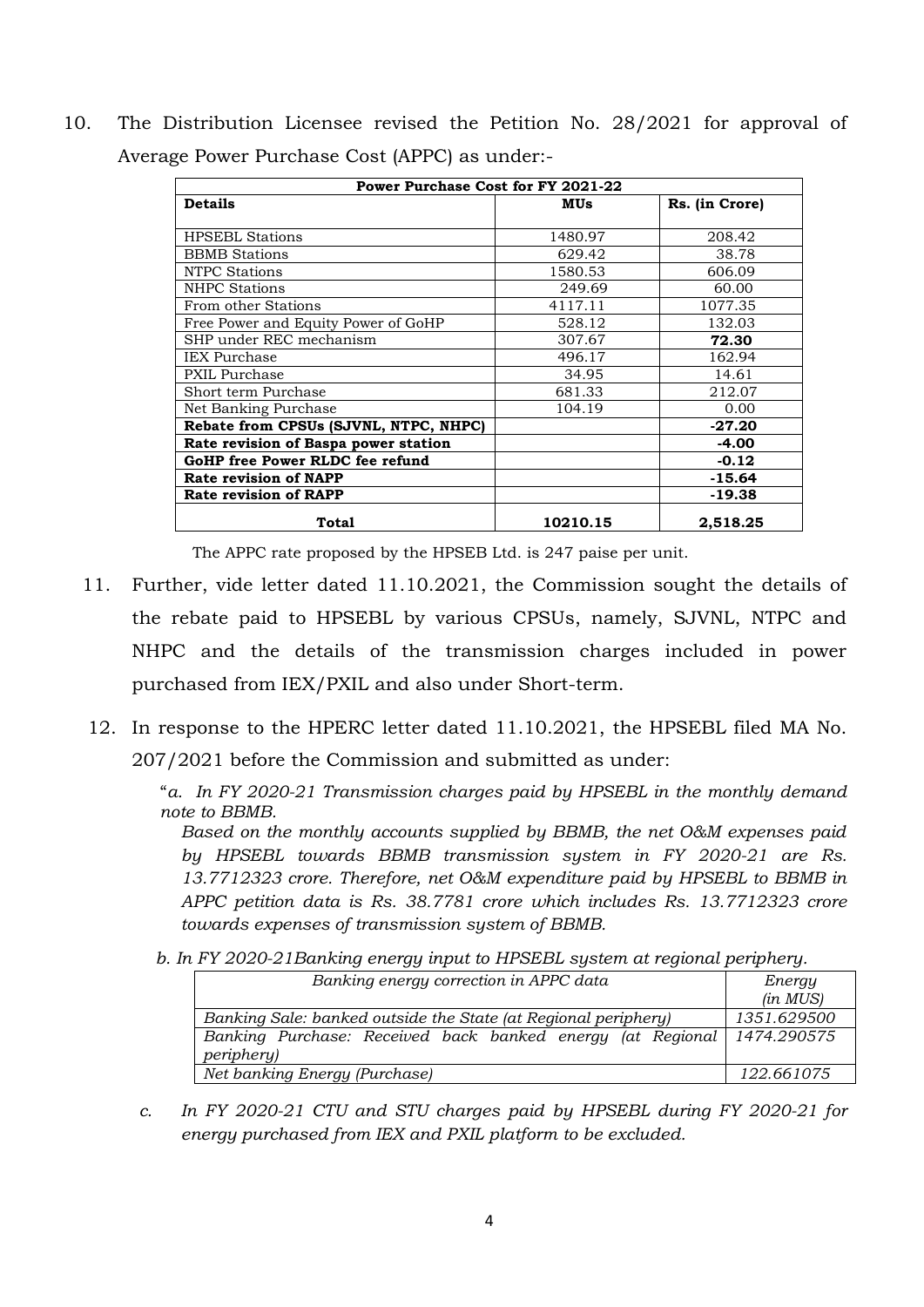10. The Distribution Licensee revised the Petition No. 28/2021 for approval of Average Power Purchase Cost (APPC) as under:-

| <b>Power Purchase Cost for FY 2021-22</b> |          |                |  |  |
|-------------------------------------------|----------|----------------|--|--|
| <b>Details</b>                            | MUs      | Rs. (in Crore) |  |  |
| <b>HPSEBL Stations</b>                    | 1480.97  | 208.42         |  |  |
| <b>BBMB</b> Stations                      | 629.42   | 38.78          |  |  |
| <b>NTPC Stations</b>                      | 1580.53  | 606.09         |  |  |
| <b>NHPC Stations</b>                      | 249.69   | 60.00          |  |  |
| From other Stations                       | 4117.11  | 1077.35        |  |  |
| Free Power and Equity Power of GoHP       | 528.12   | 132.03         |  |  |
| SHP under REC mechanism                   | 307.67   | 72.30          |  |  |
| <b>IEX</b> Purchase                       | 496.17   | 162.94         |  |  |
| PXIL Purchase                             | 34.95    | 14.61          |  |  |
| Short term Purchase                       | 681.33   | 212.07         |  |  |
| Net Banking Purchase                      | 104.19   | 0.00           |  |  |
| Rebate from CPSUs (SJVNL, NTPC, NHPC)     |          | $-27.20$       |  |  |
| Rate revision of Baspa power station      |          | $-4.00$        |  |  |
| GoHP free Power RLDC fee refund           |          | $-0.12$        |  |  |
| Rate revision of NAPP                     |          | $-15.64$       |  |  |
| <b>Rate revision of RAPP</b>              |          | $-19.38$       |  |  |
| <b>Total</b>                              | 10210.15 | 2,518.25       |  |  |

The APPC rate proposed by the HPSEB Ltd. is 247 paise per unit.

- 11. Further, vide letter dated 11.10.2021, the Commission sought the details of the rebate paid to HPSEBL by various CPSUs, namely, SJVNL, NTPC and NHPC and the details of the transmission charges included in power purchased from IEX/PXIL and also under Short-term.
- 12. In response to the HPERC letter dated 11.10.2021, the HPSEBL filed MA No. 207/2021 before the Commission and submitted as under:

 "*a. In FY 2020-21 Transmission charges paid by HPSEBL in the monthly demand note to BBMB.*

*Based on the monthly accounts supplied by BBMB, the net O&M expenses paid by HPSEBL towards BBMB transmission system in FY 2020-21 are Rs. 13.7712323 crore. Therefore, net O&M expenditure paid by HPSEBL to BBMB in APPC petition data is Rs. 38.7781 crore which includes Rs. 13.7712323 crore towards expenses of transmission system of BBMB.*

 *b. In FY 2020-21Banking energy input to HPSEBL system at regional periphery.*

| Banking energy correction in APPC data                                                       | Energy<br>(in MUS) |
|----------------------------------------------------------------------------------------------|--------------------|
| Banking Sale: banked outside the State (at Regional periphery)                               | 1351.629500        |
| Banking Purchase: Received back banked energy (at Regional 1474.290575<br><i>periphery</i> ) |                    |
| Net banking Energy (Purchase)                                                                | 122.661075         |

*c. In FY 2020-21 CTU and STU charges paid by HPSEBL during FY 2020-21 for energy purchased from IEX and PXIL platform to be excluded.*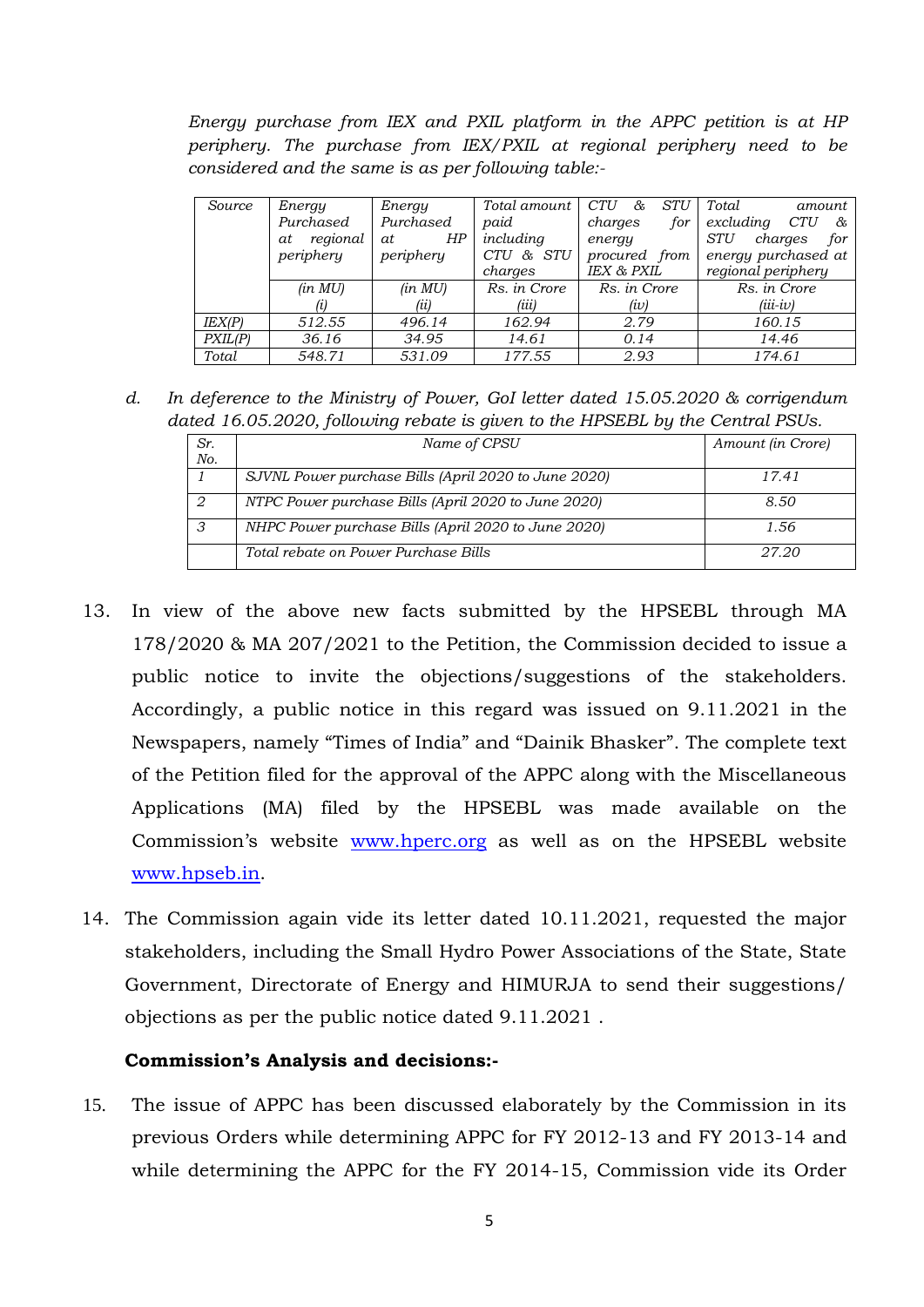*Energy purchase from IEX and PXIL platform in the APPC petition is at HP periphery. The purchase from IEX/PXIL at regional periphery need to be considered and the same is as per following table:-*

| Source  | Energy         | Energy    | Total amount | <b>CTU</b><br>STU<br>& | Total<br>amount              |
|---------|----------------|-----------|--------------|------------------------|------------------------------|
|         | Purchased      | Purchased | paid         | charges<br>for         | excluding<br><i>CTU</i><br>& |
|         | regional<br>at | HP<br>at. | including    | energy                 | <b>STU</b><br>for<br>charges |
|         | periphery      | periphery | CTU & STU    | procured from          | energy purchased at          |
|         |                |           | charges      | IEX & PXIL             | regional periphery           |
|         | (in MU)        | (in MU)   | Rs. in Crore | Rs. in Crore           | Rs. in Crore                 |
|         | (i)            | (ii)      | (iii)        | (iv)                   | $(iii - iv)$                 |
| IEX(P)  | 512.55         | 496.14    | 162.94       | 2.79                   | 160.15                       |
| PXIL(P) | 36.16          | 34.95     | 14.61        | 0.14                   | 14.46                        |
| Total   | 548.71         | 531.09    | 177.55       | 2.93                   | 174.61                       |

*d. In deference to the Ministry of Power, GoI letter dated 15.05.2020 & corrigendum dated 16.05.2020, following rebate is given to the HPSEBL by the Central PSUs.*

| Sr.     | Name of CPSU                                         | Amount (in Crore) |
|---------|------------------------------------------------------|-------------------|
| No.     |                                                      |                   |
|         | SJVNL Power purchase Bills (April 2020 to June 2020) | 17.41             |
|         | NTPC Power purchase Bills (April 2020 to June 2020)  | 8.50              |
| $\circ$ | NHPC Power purchase Bills (April 2020 to June 2020)  | 1.56              |
|         | Total rebate on Power Purchase Bills                 | 27.20             |

- 13. In view of the above new facts submitted by the HPSEBL through MA 178/2020 & MA 207/2021 to the Petition, the Commission decided to issue a public notice to invite the objections/suggestions of the stakeholders. Accordingly, a public notice in this regard was issued on 9.11.2021 in the Newspapers, namely "Times of India" and "Dainik Bhasker". The complete text of the Petition filed for the approval of the APPC along with the Miscellaneous Applications (MA) filed by the HPSEBL was made available on the Commission's website [www.hperc.org](http://www.hperc.org/) as well as on the HPSEBL website [www.hpseb.in.](http://www.hpseb.in/)
- 14. The Commission again vide its letter dated 10.11.2021, requested the major stakeholders, including the Small Hydro Power Associations of the State, State Government, Directorate of Energy and HIMURJA to send their suggestions/ objections as per the public notice dated 9.11.2021 .

## **Commission's Analysis and decisions:-**

15. The issue of APPC has been discussed elaborately by the Commission in its previous Orders while determining APPC for FY 2012-13 and FY 2013-14 and while determining the APPC for the FY 2014-15, Commission vide its Order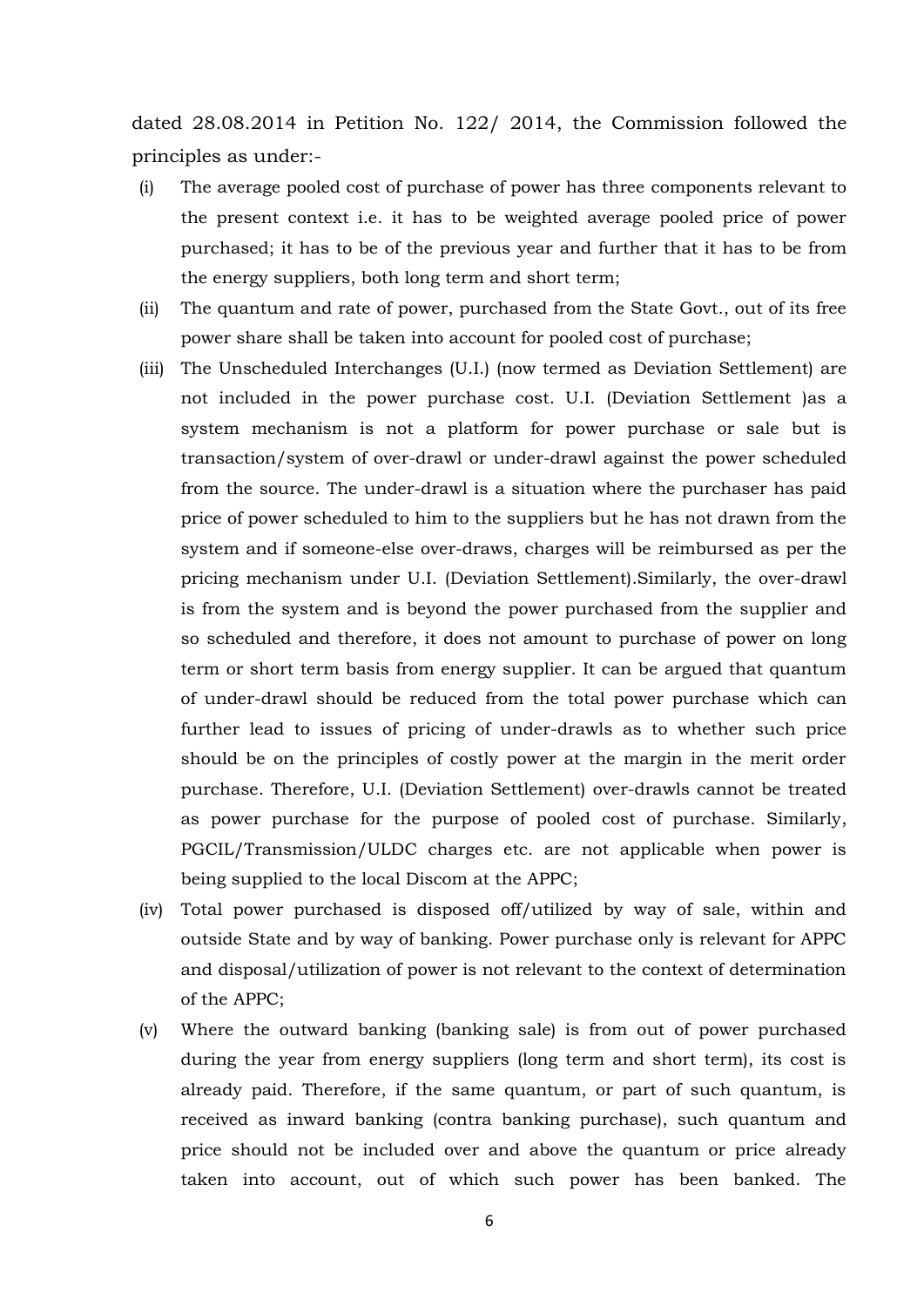dated 28.08.2014 in Petition No. 122/ 2014, the Commission followed the principles as under:-

- (i) The average pooled cost of purchase of power has three components relevant to the present context i.e. it has to be weighted average pooled price of power purchased; it has to be of the previous year and further that it has to be from the energy suppliers, both long term and short term;
- (ii) The quantum and rate of power, purchased from the State Govt., out of its free power share shall be taken into account for pooled cost of purchase;
- (iii) The Unscheduled Interchanges (U.I.) (now termed as Deviation Settlement) are not included in the power purchase cost. U.I. (Deviation Settlement )as a system mechanism is not a platform for power purchase or sale but is transaction/system of over-drawl or under-drawl against the power scheduled from the source. The under-drawl is a situation where the purchaser has paid price of power scheduled to him to the suppliers but he has not drawn from the system and if someone-else over-draws, charges will be reimbursed as per the pricing mechanism under U.I. (Deviation Settlement).Similarly, the over-drawl is from the system and is beyond the power purchased from the supplier and so scheduled and therefore, it does not amount to purchase of power on long term or short term basis from energy supplier. It can be argued that quantum of under-drawl should be reduced from the total power purchase which can further lead to issues of pricing of under-drawls as to whether such price should be on the principles of costly power at the margin in the merit order purchase. Therefore, U.I. (Deviation Settlement) over-drawls cannot be treated as power purchase for the purpose of pooled cost of purchase. Similarly, PGCIL/Transmission/ULDC charges etc. are not applicable when power is being supplied to the local Discom at the APPC;
- (iv) Total power purchased is disposed off/utilized by way of sale, within and outside State and by way of banking. Power purchase only is relevant for APPC and disposal/utilization of power is not relevant to the context of determination of the APPC;
- (v) Where the outward banking (banking sale) is from out of power purchased during the year from energy suppliers (long term and short term), its cost is already paid. Therefore, if the same quantum, or part of such quantum, is received as inward banking (contra banking purchase), such quantum and price should not be included over and above the quantum or price already taken into account, out of which such power has been banked. The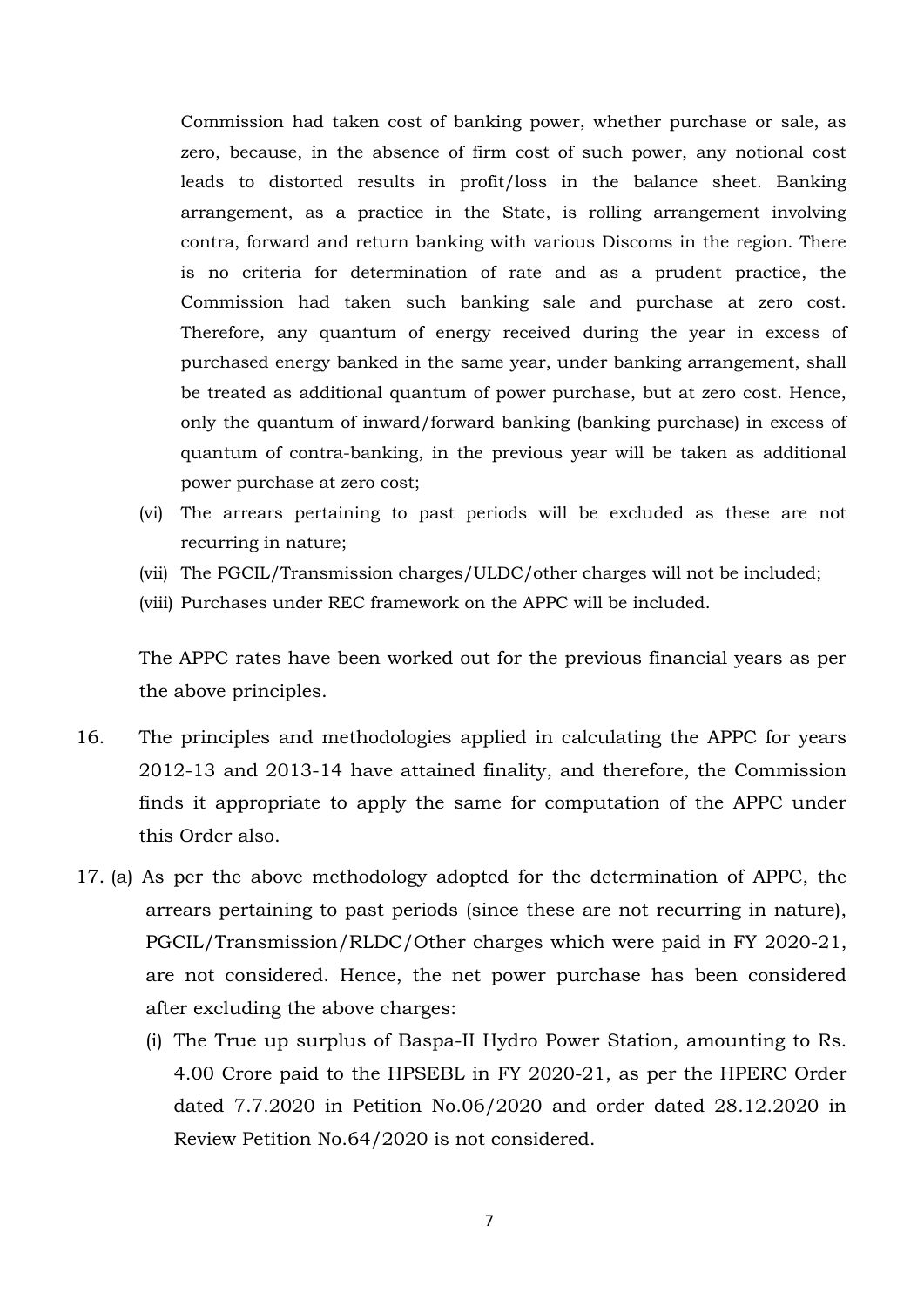Commission had taken cost of banking power, whether purchase or sale, as zero, because, in the absence of firm cost of such power, any notional cost leads to distorted results in profit/loss in the balance sheet. Banking arrangement, as a practice in the State, is rolling arrangement involving contra, forward and return banking with various Discoms in the region. There is no criteria for determination of rate and as a prudent practice, the Commission had taken such banking sale and purchase at zero cost. Therefore, any quantum of energy received during the year in excess of purchased energy banked in the same year, under banking arrangement, shall be treated as additional quantum of power purchase, but at zero cost. Hence, only the quantum of inward/forward banking (banking purchase) in excess of quantum of contra-banking, in the previous year will be taken as additional power purchase at zero cost;

- (vi) The arrears pertaining to past periods will be excluded as these are not recurring in nature;
- (vii) The PGCIL/Transmission charges/ULDC/other charges will not be included;
- (viii) Purchases under REC framework on the APPC will be included.

The APPC rates have been worked out for the previous financial years as per the above principles.

- 16. The principles and methodologies applied in calculating the APPC for years 2012-13 and 2013-14 have attained finality, and therefore, the Commission finds it appropriate to apply the same for computation of the APPC under this Order also.
- 17. (a) As per the above methodology adopted for the determination of APPC, the arrears pertaining to past periods (since these are not recurring in nature), PGCIL/Transmission/RLDC/Other charges which were paid in FY 2020-21, are not considered. Hence, the net power purchase has been considered after excluding the above charges:
	- (i) The True up surplus of Baspa-II Hydro Power Station, amounting to Rs. 4.00 Crore paid to the HPSEBL in FY 2020-21, as per the HPERC Order dated 7.7.2020 in Petition No.06/2020 and order dated 28.12.2020 in Review Petition No.64/2020 is not considered.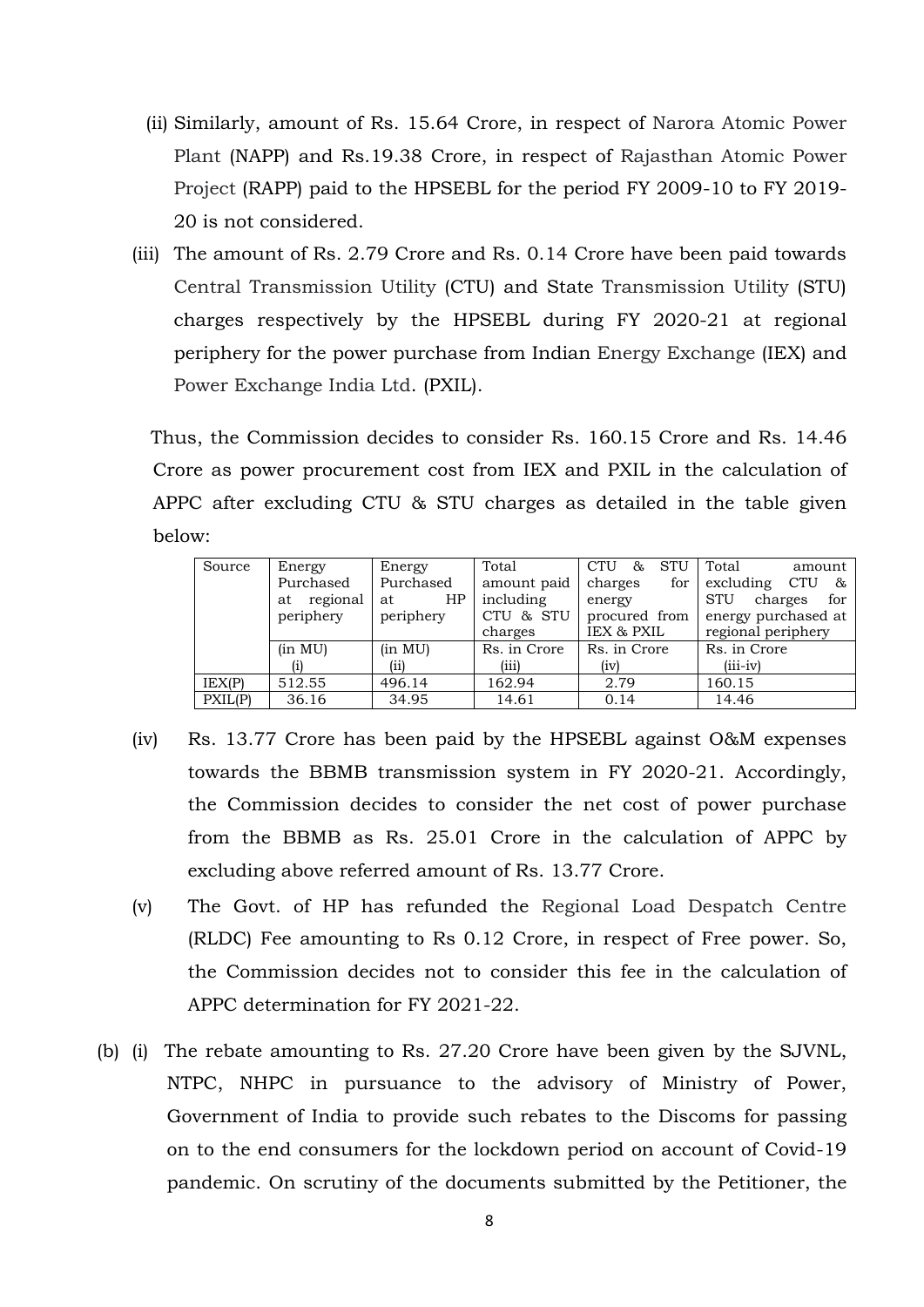- (ii) Similarly, amount of Rs. 15.64 Crore, in respect of Narora Atomic Power Plant (NAPP) and Rs.19.38 Crore, in respect of Rajasthan Atomic Power Project (RAPP) paid to the HPSEBL for the period FY 2009-10 to FY 2019- 20 is not considered.
- (iii) The amount of Rs. 2.79 Crore and Rs. 0.14 Crore have been paid towards Central Transmission Utility (CTU) and State Transmission Utility (STU) charges respectively by the HPSEBL during FY 2020-21 at regional periphery for the power purchase from Indian Energy Exchange (IEX) and Power Exchange India Ltd. (PXIL).

 Thus, the Commission decides to consider Rs. 160.15 Crore and Rs. 14.46 Crore as power procurement cost from IEX and PXIL in the calculation of APPC after excluding CTU & STU charges as detailed in the table given below:

| Source  | Energy         | Energy    | Total        | <b>CTU</b><br>STU<br>& | Total<br>amount              |
|---------|----------------|-----------|--------------|------------------------|------------------------------|
|         | Purchased      | Purchased | amount paid  | charges<br>for         | excluding CTU<br>&           |
|         | regional<br>at | HP<br>at  | including    | energy                 | <b>STU</b><br>charges<br>for |
|         | periphery      | periphery | CTU & STU    | procured from          | energy purchased at          |
|         |                |           | charges      | IEX & PXIL             | regional periphery           |
|         | (in MU)        | (in MU)   | Rs. in Crore | Rs. in Crore           | Rs. in Crore                 |
|         | (i)            | (ii)      | (iii)        | (iv)                   | $(iii-iv)$                   |
| LEX(P)  | 512.55         | 496.14    | 162.94       | 2.79                   | 160.15                       |
| PXIL(P) | 36.16          | 34.95     | 14.61        | 0.14                   | 14.46                        |

- (iv) Rs. 13.77 Crore has been paid by the HPSEBL against O&M expenses towards the BBMB transmission system in FY 2020-21. Accordingly, the Commission decides to consider the net cost of power purchase from the BBMB as Rs. 25.01 Crore in the calculation of APPC by excluding above referred amount of Rs. 13.77 Crore.
- (v) The Govt. of HP has refunded the Regional Load Despatch Centre (RLDC) Fee amounting to Rs 0.12 Crore, in respect of Free power. So, the Commission decides not to consider this fee in the calculation of APPC determination for FY 2021-22.
- (b) (i) The rebate amounting to Rs. 27.20 Crore have been given by the SJVNL, NTPC, NHPC in pursuance to the advisory of Ministry of Power, Government of India to provide such rebates to the Discoms for passing on to the end consumers for the lockdown period on account of Covid-19 pandemic. On scrutiny of the documents submitted by the Petitioner, the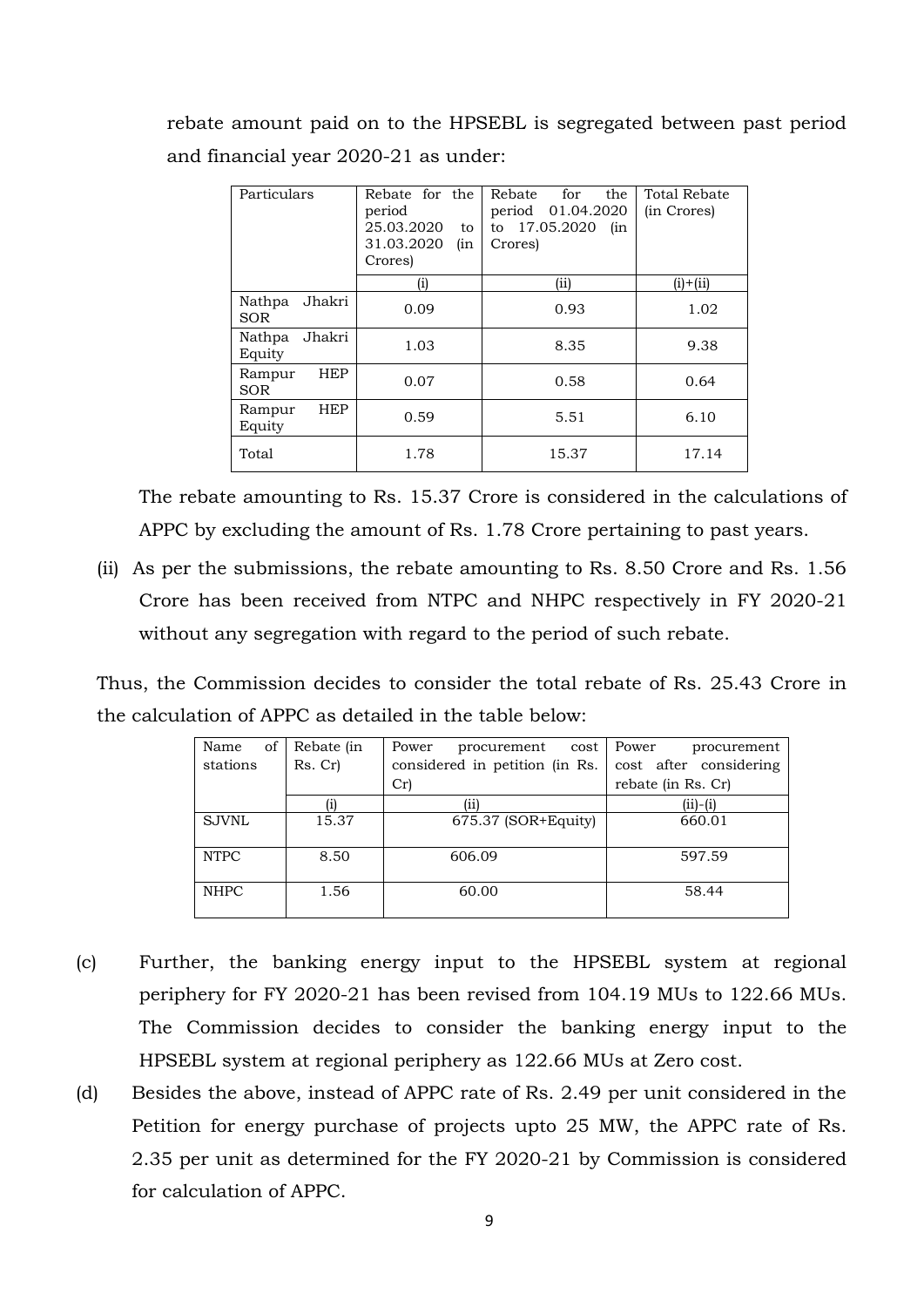rebate amount paid on to the HPSEBL is segregated between past period and financial year 2020-21 as under:

| Particulars<br>Rebate for the<br>period<br>25.03.2020<br>to<br>31.03.2020<br>(in<br>Crores) |          | the<br>Rebate<br>for<br>period 01.04.2020<br>17.05.2020<br>to<br>(in<br>Crores) | Total Rebate<br>(in Crores) |
|---------------------------------------------------------------------------------------------|----------|---------------------------------------------------------------------------------|-----------------------------|
|                                                                                             | $\rm(i)$ | (i)                                                                             | $(i) + (ii)$                |
| Jhakri<br>Nathpa<br><b>SOR</b>                                                              | 0.09     | 0.93                                                                            | 1.02                        |
| Nathpa<br>Jhakri<br>Equity                                                                  | 1.03     | 8.35                                                                            | 9.38                        |
| <b>HEP</b><br>Rampur<br><b>SOR</b>                                                          | 0.07     | 0.58                                                                            | 0.64                        |
| <b>HEP</b><br>Rampur<br>Equity                                                              | 0.59     | 5.51                                                                            | 6.10                        |
| Total                                                                                       | 1.78     | 15.37                                                                           | 17.14                       |

The rebate amounting to Rs. 15.37 Crore is considered in the calculations of APPC by excluding the amount of Rs. 1.78 Crore pertaining to past years.

(ii) As per the submissions, the rebate amounting to Rs. 8.50 Crore and Rs. 1.56 Crore has been received from NTPC and NHPC respectively in FY 2020-21 without any segregation with regard to the period of such rebate.

Thus, the Commission decides to consider the total rebate of Rs. 25.43 Crore in the calculation of APPC as detailed in the table below:

| of<br>Name   | Rebate (in | Power<br>procurement<br>cost   | Power<br>procurement   |
|--------------|------------|--------------------------------|------------------------|
| stations     | Rs. Cr)    | considered in petition (in Rs. | cost after considering |
|              |            | Cr                             | rebate (in Rs. Cr)     |
|              |            | (ii)                           | $(ii)-(i)$             |
| <b>SJVNL</b> | 15.37      | $675.37$ (SOR+Equity)          | 660.01                 |
| <b>NTPC</b>  | 8.50       | 606.09                         | 597.59                 |
| <b>NHPC</b>  | 1.56       | 60.00                          | 58.44                  |

- (c) Further, the banking energy input to the HPSEBL system at regional periphery for FY 2020-21 has been revised from 104.19 MUs to 122.66 MUs. The Commission decides to consider the banking energy input to the HPSEBL system at regional periphery as 122.66 MUs at Zero cost.
- (d) Besides the above, instead of APPC rate of Rs. 2.49 per unit considered in the Petition for energy purchase of projects upto 25 MW, the APPC rate of Rs. 2.35 per unit as determined for the FY 2020-21 by Commission is considered for calculation of APPC.